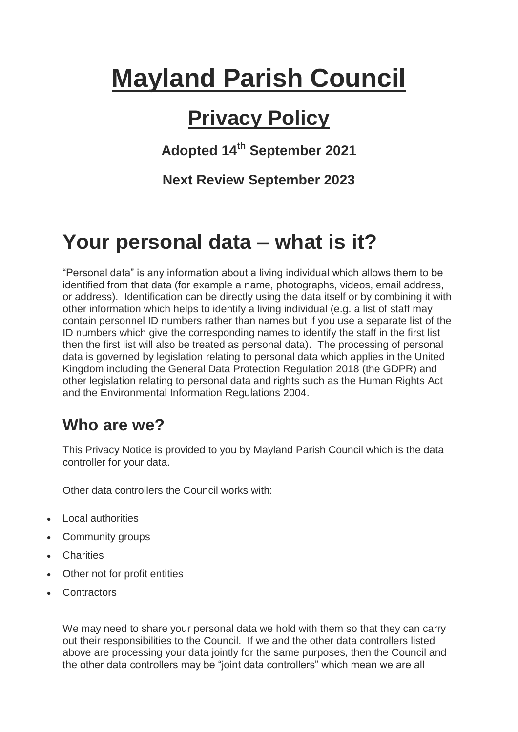# **Mayland Parish Council**

# **Privacy Policy**

**Adopted 14th September 2021**

**Next Review September 2023**

# **Your personal data – what is it?**

"Personal data" is any information about a living individual which allows them to be identified from that data (for example a name, photographs, videos, email address, or address). Identification can be directly using the data itself or by combining it with other information which helps to identify a living individual (e.g. a list of staff may contain personnel ID numbers rather than names but if you use a separate list of the ID numbers which give the corresponding names to identify the staff in the first list then the first list will also be treated as personal data). The processing of personal data is governed by legislation relating to personal data which applies in the United Kingdom including the General Data Protection Regulation 2018 (the GDPR) and other legislation relating to personal data and rights such as the Human Rights Act and the Environmental Information Regulations 2004.

# **Who are we?**

This Privacy Notice is provided to you by Mayland Parish Council which is the data controller for your data.

Other data controllers the Council works with:

- Local authorities
- Community groups
- Charities
- Other not for profit entities
- **Contractors**

We may need to share your personal data we hold with them so that they can carry out their responsibilities to the Council. If we and the other data controllers listed above are processing your data jointly for the same purposes, then the Council and the other data controllers may be "joint data controllers" which mean we are all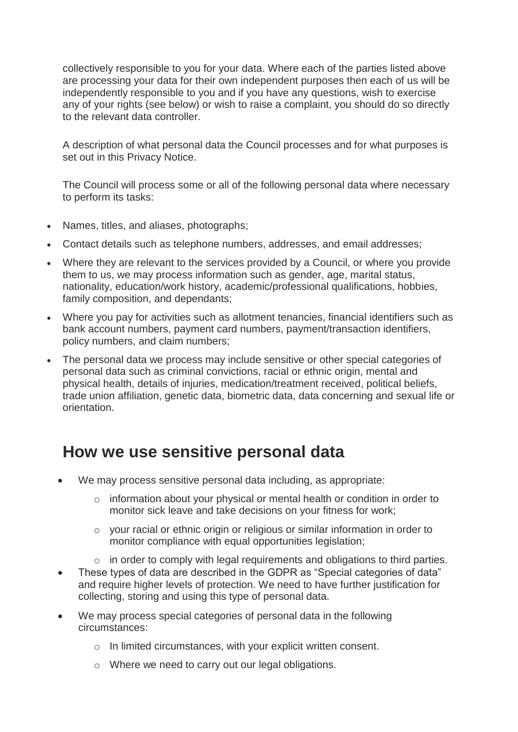collectively responsible to you for your data. Where each of the parties listed above are processing your data for their own independent purposes then each of us will be independently responsible to you and if you have any questions, wish to exercise any of your rights (see below) or wish to raise a complaint, you should do so directly to the relevant data controller.

A description of what personal data the Council processes and for what purposes is set out in this Privacy Notice.

The Council will process some or all of the following personal data where necessary to perform its tasks:

- Names, titles, and aliases, photographs;
- Contact details such as telephone numbers, addresses, and email addresses;
- Where they are relevant to the services provided by a Council, or where you provide them to us, we may process information such as gender, age, marital status, nationality, education/work history, academic/professional qualifications, hobbies, family composition, and dependants;
- Where you pay for activities such as allotment tenancies, financial identifiers such as bank account numbers, payment card numbers, payment/transaction identifiers, policy numbers, and claim numbers;
- The personal data we process may include sensitive or other special categories of personal data such as criminal convictions, racial or ethnic origin, mental and physical health, details of injuries, medication/treatment received, political beliefs, trade union affiliation, genetic data, biometric data, data concerning and sexual life or orientation.

## **How we use sensitive personal data**

- We may process sensitive personal data including, as appropriate:
	- o information about your physical or mental health or condition in order to monitor sick leave and take decisions on your fitness for work;
	- o your racial or ethnic origin or religious or similar information in order to monitor compliance with equal opportunities legislation;
	- o in order to comply with legal requirements and obligations to third parties.
- These types of data are described in the GDPR as "Special categories of data" and require higher levels of protection. We need to have further justification for collecting, storing and using this type of personal data.
- We may process special categories of personal data in the following circumstances:
	- o In limited circumstances, with your explicit written consent.
	- o Where we need to carry out our legal obligations.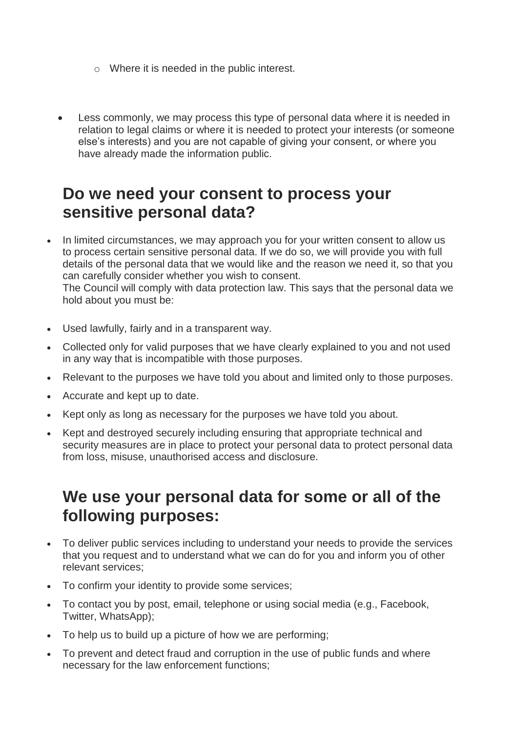- o Where it is needed in the public interest.
- Less commonly, we may process this type of personal data where it is needed in relation to legal claims or where it is needed to protect your interests (or someone else's interests) and you are not capable of giving your consent, or where you have already made the information public.

#### **Do we need your consent to process your sensitive personal data?**

- In limited circumstances, we may approach you for your written consent to allow us to process certain sensitive personal data. If we do so, we will provide you with full details of the personal data that we would like and the reason we need it, so that you can carefully consider whether you wish to consent. The Council will comply with data protection law. This says that the personal data we hold about you must be:
- Used lawfully, fairly and in a transparent way.
- Collected only for valid purposes that we have clearly explained to you and not used in any way that is incompatible with those purposes.
- Relevant to the purposes we have told you about and limited only to those purposes.
- Accurate and kept up to date.
- Kept only as long as necessary for the purposes we have told you about.
- Kept and destroyed securely including ensuring that appropriate technical and security measures are in place to protect your personal data to protect personal data from loss, misuse, unauthorised access and disclosure.

## **We use your personal data for some or all of the following purposes:**

- To deliver public services including to understand your needs to provide the services that you request and to understand what we can do for you and inform you of other relevant services;
- To confirm your identity to provide some services;
- To contact you by post, email, telephone or using social media (e.g., Facebook, Twitter, WhatsApp);
- To help us to build up a picture of how we are performing;
- To prevent and detect fraud and corruption in the use of public funds and where necessary for the law enforcement functions;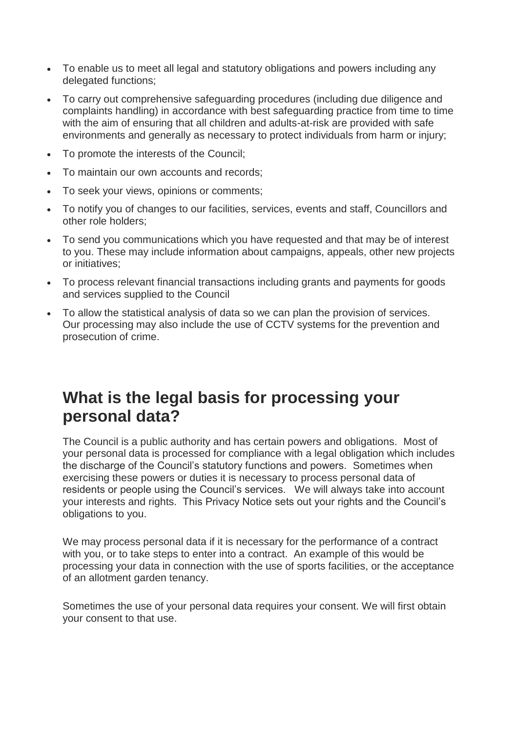- To enable us to meet all legal and statutory obligations and powers including any delegated functions;
- To carry out comprehensive safeguarding procedures (including due diligence and complaints handling) in accordance with best safeguarding practice from time to time with the aim of ensuring that all children and adults-at-risk are provided with safe environments and generally as necessary to protect individuals from harm or injury;
- To promote the interests of the Council;
- To maintain our own accounts and records;
- To seek your views, opinions or comments;
- To notify you of changes to our facilities, services, events and staff, Councillors and other role holders;
- To send you communications which you have requested and that may be of interest to you. These may include information about campaigns, appeals, other new projects or initiatives;
- To process relevant financial transactions including grants and payments for goods and services supplied to the Council
- To allow the statistical analysis of data so we can plan the provision of services. Our processing may also include the use of CCTV systems for the prevention and prosecution of crime.

## **What is the legal basis for processing your personal data?**

The Council is a public authority and has certain powers and obligations. Most of your personal data is processed for compliance with a legal obligation which includes the discharge of the Council's statutory functions and powers. Sometimes when exercising these powers or duties it is necessary to process personal data of residents or people using the Council's services. We will always take into account your interests and rights. This Privacy Notice sets out your rights and the Council's obligations to you.

We may process personal data if it is necessary for the performance of a contract with you, or to take steps to enter into a contract. An example of this would be processing your data in connection with the use of sports facilities, or the acceptance of an allotment garden tenancy.

Sometimes the use of your personal data requires your consent. We will first obtain your consent to that use.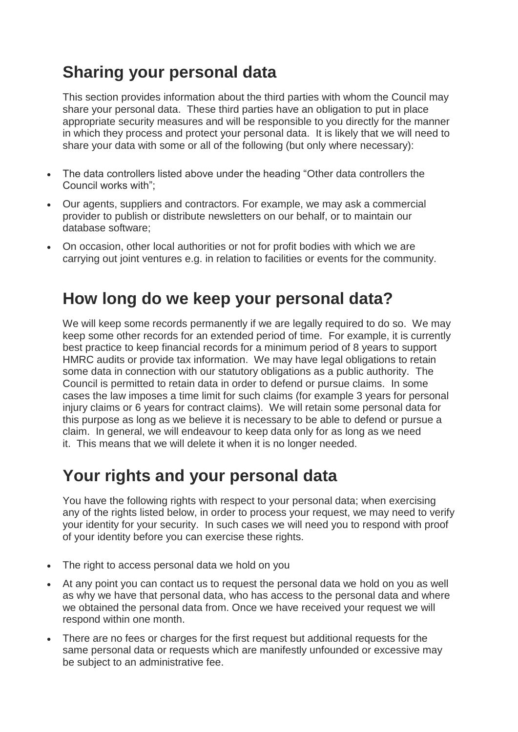# **Sharing your personal data**

This section provides information about the third parties with whom the Council may share your personal data. These third parties have an obligation to put in place appropriate security measures and will be responsible to you directly for the manner in which they process and protect your personal data. It is likely that we will need to share your data with some or all of the following (but only where necessary):

- The data controllers listed above under the heading "Other data controllers the Council works with";
- Our agents, suppliers and contractors. For example, we may ask a commercial provider to publish or distribute newsletters on our behalf, or to maintain our database software;
- On occasion, other local authorities or not for profit bodies with which we are carrying out joint ventures e.g. in relation to facilities or events for the community.

## **How long do we keep your personal data?**

We will keep some records permanently if we are legally required to do so. We may keep some other records for an extended period of time. For example, it is currently best practice to keep financial records for a minimum period of 8 years to support HMRC audits or provide tax information. We may have legal obligations to retain some data in connection with our statutory obligations as a public authority. The Council is permitted to retain data in order to defend or pursue claims. In some cases the law imposes a time limit for such claims (for example 3 years for personal injury claims or 6 years for contract claims). We will retain some personal data for this purpose as long as we believe it is necessary to be able to defend or pursue a claim. In general, we will endeavour to keep data only for as long as we need it. This means that we will delete it when it is no longer needed.

# **Your rights and your personal data**

You have the following rights with respect to your personal data; when exercising any of the rights listed below, in order to process your request, we may need to verify your identity for your security. In such cases we will need you to respond with proof of your identity before you can exercise these rights.

- The right to access personal data we hold on you
- At any point you can contact us to request the personal data we hold on you as well as why we have that personal data, who has access to the personal data and where we obtained the personal data from. Once we have received your request we will respond within one month.
- There are no fees or charges for the first request but additional requests for the same personal data or requests which are manifestly unfounded or excessive may be subject to an administrative fee.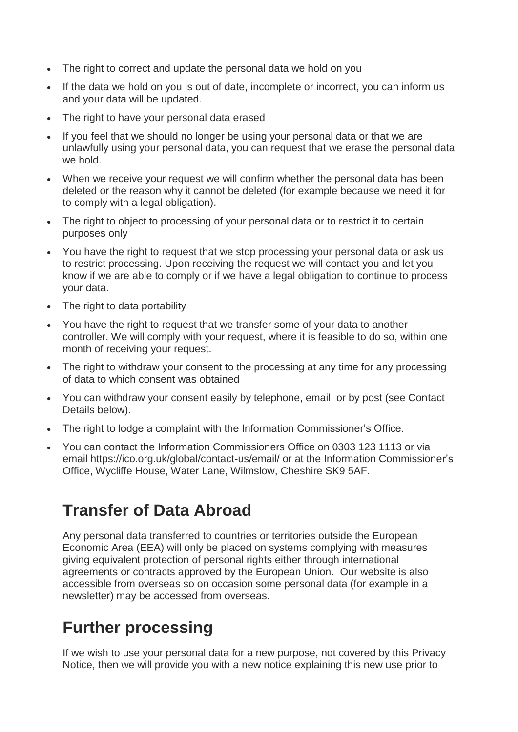- The right to correct and update the personal data we hold on you
- If the data we hold on you is out of date, incomplete or incorrect, you can inform us and your data will be updated.
- The right to have your personal data erased
- If you feel that we should no longer be using your personal data or that we are unlawfully using your personal data, you can request that we erase the personal data we hold.
- When we receive your request we will confirm whether the personal data has been deleted or the reason why it cannot be deleted (for example because we need it for to comply with a legal obligation).
- The right to object to processing of your personal data or to restrict it to certain purposes only
- You have the right to request that we stop processing your personal data or ask us to restrict processing. Upon receiving the request we will contact you and let you know if we are able to comply or if we have a legal obligation to continue to process your data.
- The right to data portability
- You have the right to request that we transfer some of your data to another controller. We will comply with your request, where it is feasible to do so, within one month of receiving your request.
- The right to withdraw your consent to the processing at any time for any processing of data to which consent was obtained
- You can withdraw your consent easily by telephone, email, or by post (see Contact Details below).
- The right to lodge a complaint with the Information Commissioner's Office.
- You can contact the Information Commissioners Office on 0303 123 1113 or via email https://ico.org.uk/global/contact-us/email/ or at the Information Commissioner's Office, Wycliffe House, Water Lane, Wilmslow, Cheshire SK9 5AF.

# **Transfer of Data Abroad**

Any personal data transferred to countries or territories outside the European Economic Area (EEA) will only be placed on systems complying with measures giving equivalent protection of personal rights either through international agreements or contracts approved by the European Union. Our website is also accessible from overseas so on occasion some personal data (for example in a newsletter) may be accessed from overseas.

# **Further processing**

If we wish to use your personal data for a new purpose, not covered by this Privacy Notice, then we will provide you with a new notice explaining this new use prior to